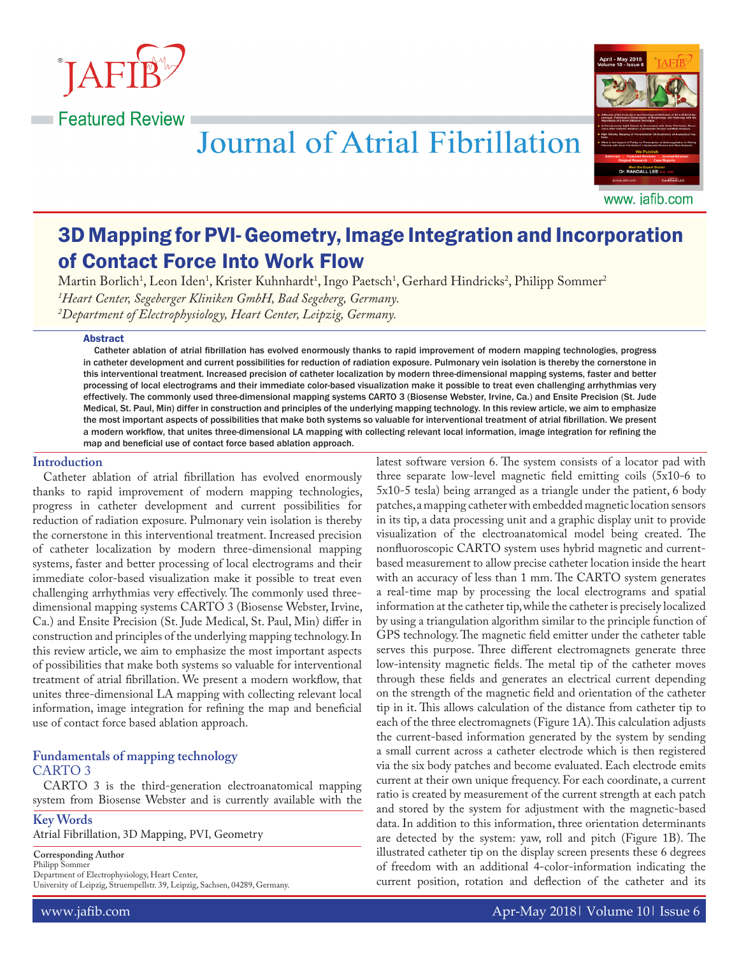

# **Journal of Atrial Fibrillation**



www. jafib.com

## 3D Mapping for PVI- Geometry, Image Integration and Incorporation of Contact Force Into Work Flow

Martin Borlich<sup>1</sup>, Leon Iden<sup>1</sup>, Krister Kuhnhardt<sup>1</sup>, Ingo Paetsch<sup>1</sup>, Gerhard Hindricks<sup>2</sup>, Philipp Sommer<sup>2</sup> *1 Heart Center, Segeberger Kliniken GmbH, Bad Segeberg, Germany. 2 Department of Electrophysiology, Heart Center, Leipzig, Germany.*

#### Abstract

Catheter ablation of atrial fibrillation has evolved enormously thanks to rapid improvement of modern mapping technologies, progress in catheter development and current possibilities for reduction of radiation exposure. Pulmonary vein isolation is thereby the cornerstone in this interventional treatment. Increased precision of catheter localization by modern three-dimensional mapping systems, faster and better processing of local electrograms and their immediate color-based visualization make it possible to treat even challenging arrhythmias very effectively. The commonly used three-dimensional mapping systems CARTO 3 (Biosense Webster, Irvine, Ca.) and Ensite Precision (St. Jude Medical, St. Paul, Min) differ in construction and principles of the underlying mapping technology. In this review article, we aim to emphasize the most important aspects of possibilities that make both systems so valuable for interventional treatment of atrial fibrillation. We present a modern workflow, that unites three-dimensional LA mapping with collecting relevant local information, image integration for refining the map and beneficial use of contact force based ablation approach.

#### **Introduction**

Catheter ablation of atrial fibrillation has evolved enormously thanks to rapid improvement of modern mapping technologies, progress in catheter development and current possibilities for reduction of radiation exposure. Pulmonary vein isolation is thereby the cornerstone in this interventional treatment. Increased precision of catheter localization by modern three-dimensional mapping systems, faster and better processing of local electrograms and their immediate color-based visualization make it possible to treat even challenging arrhythmias very effectively. The commonly used threedimensional mapping systems CARTO 3 (Biosense Webster, Irvine, Ca.) and Ensite Precision (St. Jude Medical, St. Paul, Min) differ in construction and principles of the underlying mapping technology. In this review article, we aim to emphasize the most important aspects of possibilities that make both systems so valuable for interventional treatment of atrial fibrillation. We present a modern workflow, that unites three-dimensional LA mapping with collecting relevant local information, image integration for refining the map and beneficial use of contact force based ablation approach.

#### **Fundamentals of mapping technology** CARTO 3

CARTO 3 is the third-generation electroanatomical mapping system from Biosense Webster and is currently available with the

### **Key Words** Atrial Fibrillation, 3D Mapping, PVI, Geometry

**Corresponding Author** Philipp Sommer Department of Electrophysiology, Heart Center, University of Leipzig, Struempellstr. 39, Leipzig, Sachsen, 04289, Germany. latest software version 6. The system consists of a locator pad with three separate low-level magnetic field emitting coils (5x10-6 to 5x10-5 tesla) being arranged as a triangle under the patient, 6 body patches, a mapping catheter with embedded magnetic location sensors in its tip, a data processing unit and a graphic display unit to provide visualization of the electroanatomical model being created. The nonfluoroscopic CARTO system uses hybrid magnetic and currentbased measurement to allow precise catheter location inside the heart with an accuracy of less than 1 mm. The CARTO system generates a real-time map by processing the local electrograms and spatial information at the catheter tip, while the catheter is precisely localized by using a triangulation algorithm similar to the principle function of GPS technology. The magnetic field emitter under the catheter table serves this purpose. Three different electromagnets generate three low-intensity magnetic fields. The metal tip of the catheter moves through these fields and generates an electrical current depending on the strength of the magnetic field and orientation of the catheter tip in it. This allows calculation of the distance from catheter tip to each of the three electromagnets (Figure 1A). This calculation adjusts the current-based information generated by the system by sending a small current across a catheter electrode which is then registered via the six body patches and become evaluated. Each electrode emits current at their own unique frequency. For each coordinate, a current ratio is created by measurement of the current strength at each patch and stored by the system for adjustment with the magnetic-based data. In addition to this information, three orientation determinants are detected by the system: yaw, roll and pitch (Figure 1B). The illustrated catheter tip on the display screen presents these 6 degrees of freedom with an additional 4-color-information indicating the current position, rotation and deflection of the catheter and its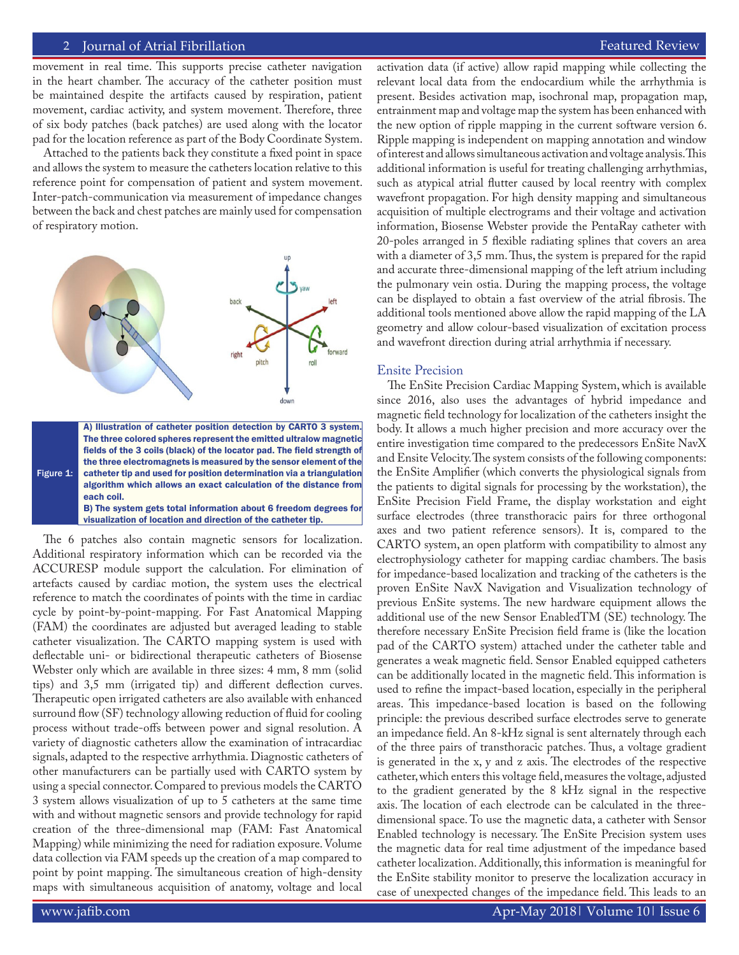movement in real time. This supports precise catheter navigation in the heart chamber. The accuracy of the catheter position must be maintained despite the artifacts caused by respiration, patient movement, cardiac activity, and system movement. Therefore, three of six body patches (back patches) are used along with the locator pad for the location reference as part of the Body Coordinate System.

Attached to the patients back they constitute a fixed point in space and allows the system to measure the catheters location relative to this reference point for compensation of patient and system movement. Inter-patch-communication via measurement of impedance changes between the back and chest patches are mainly used for compensation of respiratory motion.



algorithm which allows an exact calculation of the distance from each coil. B) The system gets total information about 6 freedom degrees for visualization of location and direction of the catheter tip.

The 6 patches also contain magnetic sensors for localization. Additional respiratory information which can be recorded via the ACCURESP module support the calculation. For elimination of artefacts caused by cardiac motion, the system uses the electrical reference to match the coordinates of points with the time in cardiac cycle by point-by-point-mapping. For Fast Anatomical Mapping (FAM) the coordinates are adjusted but averaged leading to stable catheter visualization. The CARTO mapping system is used with deflectable uni- or bidirectional therapeutic catheters of Biosense Webster only which are available in three sizes: 4 mm, 8 mm (solid tips) and 3,5 mm (irrigated tip) and different deflection curves. Therapeutic open irrigated catheters are also available with enhanced surround flow (SF) technology allowing reduction of fluid for cooling process without trade-offs between power and signal resolution. A variety of diagnostic catheters allow the examination of intracardiac signals, adapted to the respective arrhythmia. Diagnostic catheters of other manufacturers can be partially used with CARTO system by using a special connector. Compared to previous models the CARTO 3 system allows visualization of up to 5 catheters at the same time with and without magnetic sensors and provide technology for rapid creation of the three-dimensional map (FAM: Fast Anatomical Mapping) while minimizing the need for radiation exposure. Volume data collection via FAM speeds up the creation of a map compared to point by point mapping. The simultaneous creation of high-density maps with simultaneous acquisition of anatomy, voltage and local

activation data (if active) allow rapid mapping while collecting the relevant local data from the endocardium while the arrhythmia is present. Besides activation map, isochronal map, propagation map, entrainment map and voltage map the system has been enhanced with the new option of ripple mapping in the current software version 6. Ripple mapping is independent on mapping annotation and window of interest and allows simultaneous activation and voltage analysis. This additional information is useful for treating challenging arrhythmias, such as atypical atrial flutter caused by local reentry with complex wavefront propagation. For high density mapping and simultaneous acquisition of multiple electrograms and their voltage and activation information, Biosense Webster provide the PentaRay catheter with 20-poles arranged in 5 flexible radiating splines that covers an area with a diameter of 3,5 mm. Thus, the system is prepared for the rapid and accurate three-dimensional mapping of the left atrium including the pulmonary vein ostia. During the mapping process, the voltage can be displayed to obtain a fast overview of the atrial fibrosis. The additional tools mentioned above allow the rapid mapping of the LA geometry and allow colour-based visualization of excitation process and wavefront direction during atrial arrhythmia if necessary.

#### Ensite Precision

The EnSite Precision Cardiac Mapping System, which is available since 2016, also uses the advantages of hybrid impedance and magnetic field technology for localization of the catheters insight the body. It allows a much higher precision and more accuracy over the entire investigation time compared to the predecessors EnSite NavX and Ensite Velocity. The system consists of the following components: the EnSite Amplifier (which converts the physiological signals from the patients to digital signals for processing by the workstation), the EnSite Precision Field Frame, the display workstation and eight surface electrodes (three transthoracic pairs for three orthogonal axes and two patient reference sensors). It is, compared to the CARTO system, an open platform with compatibility to almost any electrophysiology catheter for mapping cardiac chambers. The basis for impedance-based localization and tracking of the catheters is the proven EnSite NavX Navigation and Visualization technology of previous EnSite systems. The new hardware equipment allows the additional use of the new Sensor EnabledTM (SE) technology. The therefore necessary EnSite Precision field frame is (like the location pad of the CARTO system) attached under the catheter table and generates a weak magnetic field. Sensor Enabled equipped catheters can be additionally located in the magnetic field. This information is used to refine the impact-based location, especially in the peripheral areas. This impedance-based location is based on the following principle: the previous described surface electrodes serve to generate an impedance field. An 8-kHz signal is sent alternately through each of the three pairs of transthoracic patches. Thus, a voltage gradient is generated in the x, y and z axis. The electrodes of the respective catheter, which enters this voltage field, measures the voltage, adjusted to the gradient generated by the 8 kHz signal in the respective axis. The location of each electrode can be calculated in the threedimensional space. To use the magnetic data, a catheter with Sensor Enabled technology is necessary. The EnSite Precision system uses the magnetic data for real time adjustment of the impedance based catheter localization. Additionally, this information is meaningful for the EnSite stability monitor to preserve the localization accuracy in case of unexpected changes of the impedance field. This leads to an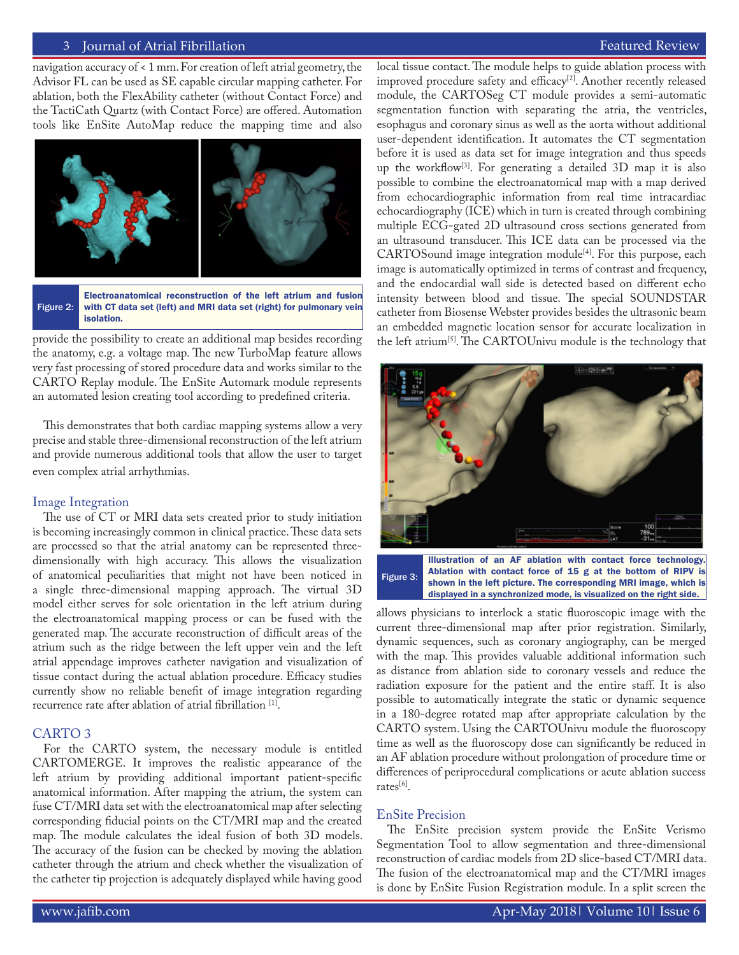navigation accuracy of < 1 mm. For creation of left atrial geometry, the Advisor FL can be used as SE capable circular mapping catheter. For ablation, both the FlexAbility catheter (without Contact Force) and the TactiCath Quartz (with Contact Force) are offered. Automation tools like EnSite AutoMap reduce the mapping time and also



Figure 2:

with CT data set (left) and MRI data set (right) for pulmonary vein isolation.

provide the possibility to create an additional map besides recording the left atrium<sup>[5]</sup>. The CARTOUnivu module is the technology that the anatomy, e.g. a voltage map. The new TurboMap feature allows very fast processing of stored procedure data and works similar to the CARTO Replay module. The EnSite Automark module represents an automated lesion creating tool according to predefined criteria.

This demonstrates that both cardiac mapping systems allow a very precise and stable three-dimensional reconstruction of the left atrium and provide numerous additional tools that allow the user to target even complex atrial arrhythmias.

#### Image Integration

The use of CT or MRI data sets created prior to study initiation is becoming increasingly common in clinical practice. These data sets are processed so that the atrial anatomy can be represented threedimensionally with high accuracy. This allows the visualization of anatomical peculiarities that might not have been noticed in a single three-dimensional mapping approach. The virtual 3D model either serves for sole orientation in the left atrium during the electroanatomical mapping process or can be fused with the generated map. The accurate reconstruction of difficult areas of the atrium such as the ridge between the left upper vein and the left atrial appendage improves catheter navigation and visualization of tissue contact during the actual ablation procedure. Efficacy studies currently show no reliable benefit of image integration regarding recurrence rate after ablation of atrial fibrillation [1].

#### CARTO 3

For the CARTO system, the necessary module is entitled CARTOMERGE. It improves the realistic appearance of the left atrium by providing additional important patient-specific anatomical information. After mapping the atrium, the system can fuse CT/MRI data set with the electroanatomical map after selecting corresponding fiducial points on the CT/MRI map and the created map. The module calculates the ideal fusion of both 3D models. The accuracy of the fusion can be checked by moving the ablation catheter through the atrium and check whether the visualization of the catheter tip projection is adequately displayed while having good

local tissue contact. The module helps to guide ablation process with improved procedure safety and efficacy<sup>[2]</sup>. Another recently released module, the CARTOSeg CT module provides a semi-automatic segmentation function with separating the atria, the ventricles, esophagus and coronary sinus as well as the aorta without additional user-dependent identification. It automates the CT segmentation before it is used as data set for image integration and thus speeds up the workflow<sup>[3]</sup>. For generating a detailed 3D map it is also possible to combine the electroanatomical map with a map derived from echocardiographic information from real time intracardiac echocardiography (ICE) which in turn is created through combining multiple ECG-gated 2D ultrasound cross sections generated from an ultrasound transducer. This ICE data can be processed via the CARTOSound image integration module<sup>[4]</sup>. For this purpose, each image is automatically optimized in terms of contrast and frequency, and the endocardial wall side is detected based on different echo intensity between blood and tissue. The special SOUNDSTAR catheter from Biosense Webster provides besides the ultrasonic beam an embedded magnetic location sensor for accurate localization in



Figure 3: Illustration of an AF ablation with contact force technology. Ablation with contact force of 15 g at the bottom of RIPV is shown in the left picture. The corresponding MRI image, which is displayed in a synchronized mode, is visualized on the right side.

allows physicians to interlock a static fluoroscopic image with the current three-dimensional map after prior registration. Similarly, dynamic sequences, such as coronary angiography, can be merged with the map. This provides valuable additional information such as distance from ablation side to coronary vessels and reduce the radiation exposure for the patient and the entire staff. It is also possible to automatically integrate the static or dynamic sequence in a 180-degree rotated map after appropriate calculation by the CARTO system. Using the CARTOUnivu module the fluoroscopy time as well as the fluoroscopy dose can significantly be reduced in an AF ablation procedure without prolongation of procedure time or differences of periprocedural complications or acute ablation success rates $^{[6]}$ .

#### EnSite Precision

The EnSite precision system provide the EnSite Verismo Segmentation Tool to allow segmentation and three-dimensional reconstruction of cardiac models from 2D slice-based CT/MRI data. The fusion of the electroanatomical map and the CT/MRI images is done by EnSite Fusion Registration module. In a split screen the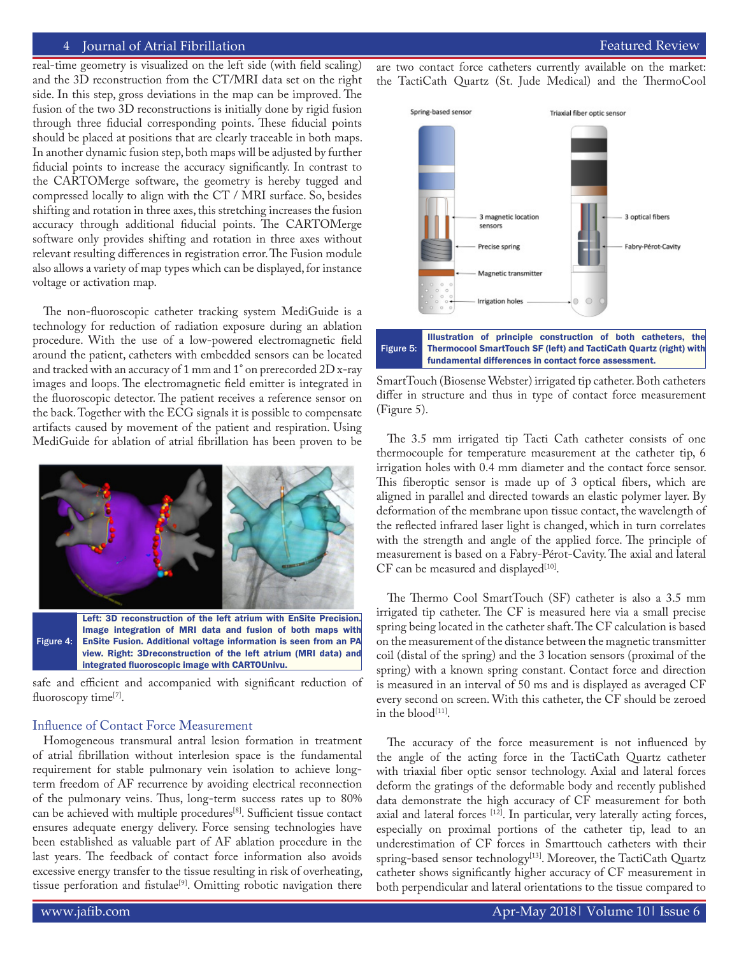real-time geometry is visualized on the left side (with field scaling) and the 3D reconstruction from the CT/MRI data set on the right side. In this step, gross deviations in the map can be improved. The fusion of the two 3D reconstructions is initially done by rigid fusion through three fiducial corresponding points. These fiducial points should be placed at positions that are clearly traceable in both maps. In another dynamic fusion step, both maps will be adjusted by further fiducial points to increase the accuracy significantly. In contrast to the CARTOMerge software, the geometry is hereby tugged and compressed locally to align with the CT / MRI surface. So, besides shifting and rotation in three axes, this stretching increases the fusion accuracy through additional fiducial points. The CARTOMerge software only provides shifting and rotation in three axes without relevant resulting differences in registration error. The Fusion module also allows a variety of map types which can be displayed, for instance voltage or activation map.

The non-fluoroscopic catheter tracking system MediGuide is a technology for reduction of radiation exposure during an ablation procedure. With the use of a low-powered electromagnetic field around the patient, catheters with embedded sensors can be located and tracked with an accuracy of 1 mm and 1° on prerecorded 2D x-ray images and loops. The electromagnetic field emitter is integrated in the fluoroscopic detector. The patient receives a reference sensor on the back. Together with the ECG signals it is possible to compensate artifacts caused by movement of the patient and respiration. Using MediGuide for ablation of atrial fibrillation has been proven to be



Figure 4: Image integration of MRI data and fusion of both maps with EnSite Fusion. Additional voltage information is seen from an PA view. Right: 3Dreconstruction of the left atrium (MRI data) and integrated fluoroscopic image with CARTOUnivu.

safe and efficient and accompanied with significant reduction of fluoroscopy time<sup>[7]</sup>.

#### Influence of Contact Force Measurement

Homogeneous transmural antral lesion formation in treatment of atrial fibrillation without interlesion space is the fundamental requirement for stable pulmonary vein isolation to achieve longterm freedom of AF recurrence by avoiding electrical reconnection of the pulmonary veins. Thus, long-term success rates up to 80% can be achieved with multiple procedures[8]. Sufficient tissue contact ensures adequate energy delivery. Force sensing technologies have been established as valuable part of AF ablation procedure in the last years. The feedback of contact force information also avoids excessive energy transfer to the tissue resulting in risk of overheating, tissue perforation and fistulae<sup>[9]</sup>. Omitting robotic navigation there

are two contact force catheters currently available on the market: the TactiCath Quartz (St. Jude Medical) and the ThermoCool



Figure 5: Thermocool SmartTouch SF (left) and TactiCath Quartz (right) with fundamental differences in contact force assessment.

SmartTouch (Biosense Webster) irrigated tip catheter. Both catheters differ in structure and thus in type of contact force measurement (Figure 5).

The 3.5 mm irrigated tip Tacti Cath catheter consists of one thermocouple for temperature measurement at the catheter tip, 6 irrigation holes with 0.4 mm diameter and the contact force sensor. This fiberoptic sensor is made up of 3 optical fibers, which are aligned in parallel and directed towards an elastic polymer layer. By deformation of the membrane upon tissue contact, the wavelength of the reflected infrared laser light is changed, which in turn correlates with the strength and angle of the applied force. The principle of measurement is based on a Fabry-Pérot-Cavity. The axial and lateral  $CF$  can be measured and displayed<sup>[10]</sup>.

The Thermo Cool SmartTouch (SF) catheter is also a 3.5 mm irrigated tip catheter. The CF is measured here via a small precise spring being located in the catheter shaft. The CF calculation is based on the measurement of the distance between the magnetic transmitter coil (distal of the spring) and the 3 location sensors (proximal of the spring) with a known spring constant. Contact force and direction is measured in an interval of 50 ms and is displayed as averaged CF every second on screen. With this catheter, the CF should be zeroed in the  $b$ lood $[11]$ .

The accuracy of the force measurement is not influenced by the angle of the acting force in the TactiCath Quartz catheter with triaxial fiber optic sensor technology. Axial and lateral forces deform the gratings of the deformable body and recently published data demonstrate the high accuracy of CF measurement for both axial and lateral forces [12]. In particular, very laterally acting forces, especially on proximal portions of the catheter tip, lead to an underestimation of CF forces in Smarttouch catheters with their spring-based sensor technology<sup>[13]</sup>. Moreover, the TactiCath Quartz catheter shows significantly higher accuracy of CF measurement in both perpendicular and lateral orientations to the tissue compared to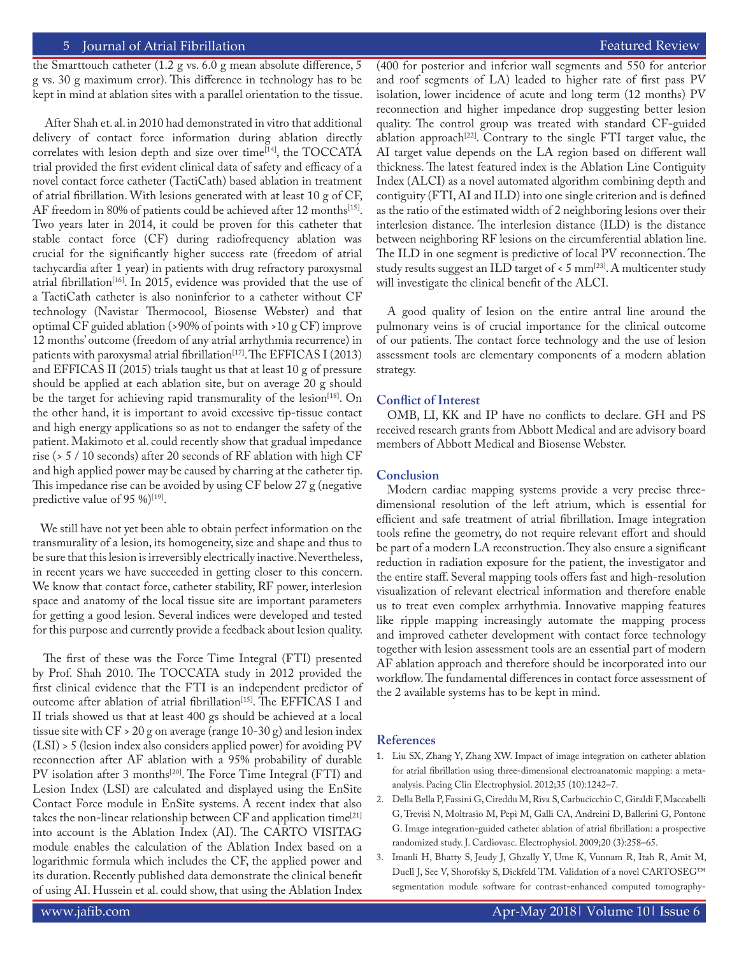the Smarttouch catheter (1.2 g vs. 6.0 g mean absolute difference, 5 g vs. 30 g maximum error). This difference in technology has to be kept in mind at ablation sites with a parallel orientation to the tissue.

 After Shah et. al. in 2010 had demonstrated in vitro that additional delivery of contact force information during ablation directly correlates with lesion depth and size over time<sup>[14]</sup>, the TOCCATA trial provided the first evident clinical data of safety and efficacy of a novel contact force catheter (TactiCath) based ablation in treatment of atrial fibrillation. With lesions generated with at least 10 g of CF, AF freedom in 80% of patients could be achieved after 12 months<sup>[15]</sup>. Two years later in 2014, it could be proven for this catheter that stable contact force (CF) during radiofrequency ablation was crucial for the significantly higher success rate (freedom of atrial tachycardia after 1 year) in patients with drug refractory paroxysmal atrial fibrillation<sup>[16]</sup>. In 2015, evidence was provided that the use of a TactiCath catheter is also noninferior to a catheter without CF technology (Navistar Thermocool, Biosense Webster) and that optimal CF guided ablation (>90% of points with >10 g CF) improve 12 months' outcome (freedom of any atrial arrhythmia recurrence) in patients with paroxysmal atrial fibrillation<sup>[17]</sup>. The EFFICAS I (2013) and EFFICAS II (2015) trials taught us that at least 10 g of pressure should be applied at each ablation site, but on average 20 g should be the target for achieving rapid transmurality of the lesion<sup>[18]</sup>. On the other hand, it is important to avoid excessive tip-tissue contact and high energy applications so as not to endanger the safety of the patient. Makimoto et al. could recently show that gradual impedance rise (> 5 / 10 seconds) after 20 seconds of RF ablation with high CF and high applied power may be caused by charring at the catheter tip. This impedance rise can be avoided by using CF below 27 g (negative predictive value of 95 %) $^{[19]}$ .

 We still have not yet been able to obtain perfect information on the transmurality of a lesion, its homogeneity, size and shape and thus to be sure that this lesion is irreversibly electrically inactive. Nevertheless, in recent years we have succeeded in getting closer to this concern. We know that contact force, catheter stability, RF power, interlesion space and anatomy of the local tissue site are important parameters for getting a good lesion. Several indices were developed and tested for this purpose and currently provide a feedback about lesion quality.

The first of these was the Force Time Integral (FTI) presented by Prof. Shah 2010. The TOCCATA study in 2012 provided the first clinical evidence that the FTI is an independent predictor of outcome after ablation of atrial fibrillation<sup>[15]</sup>. The EFFICAS I and II trials showed us that at least 400 gs should be achieved at a local tissue site with  $CF > 20$  g on average (range 10-30 g) and lesion index (LSI) > 5 (lesion index also considers applied power) for avoiding PV reconnection after AF ablation with a 95% probability of durable PV isolation after 3 months<sup>[20]</sup>. The Force Time Integral (FTI) and Lesion Index (LSI) are calculated and displayed using the EnSite Contact Force module in EnSite systems. A recent index that also takes the non-linear relationship between CF and application time<sup>[21]</sup> into account is the Ablation Index (AI). The CARTO VISITAG module enables the calculation of the Ablation Index based on a logarithmic formula which includes the CF, the applied power and its duration. Recently published data demonstrate the clinical benefit of using AI. Hussein et al. could show, that using the Ablation Index

(400 for posterior and inferior wall segments and 550 for anterior and roof segments of LA) leaded to higher rate of first pass PV isolation, lower incidence of acute and long term (12 months) PV reconnection and higher impedance drop suggesting better lesion quality. The control group was treated with standard CF-guided ablation approach<sup>[22]</sup>. Contrary to the single FTI target value, the AI target value depends on the LA region based on different wall thickness. The latest featured index is the Ablation Line Contiguity Index (ALCI) as a novel automated algorithm combining depth and contiguity (FTI, AI and ILD) into one single criterion and is defined as the ratio of the estimated width of 2 neighboring lesions over their interlesion distance. The interlesion distance (ILD) is the distance between neighboring RF lesions on the circumferential ablation line. The ILD in one segment is predictive of local PV reconnection. The study results suggest an ILD target of < 5 mm<sup>[23]</sup>. A multicenter study will investigate the clinical benefit of the ALCI.

A good quality of lesion on the entire antral line around the pulmonary veins is of crucial importance for the clinical outcome of our patients. The contact force technology and the use of lesion assessment tools are elementary components of a modern ablation strategy.

#### **Conflict of Interest**

OMB, LI, KK and IP have no conflicts to declare. GH and PS received research grants from Abbott Medical and are advisory board members of Abbott Medical and Biosense Webster.

#### **Conclusion**

Modern cardiac mapping systems provide a very precise threedimensional resolution of the left atrium, which is essential for efficient and safe treatment of atrial fibrillation. Image integration tools refine the geometry, do not require relevant effort and should be part of a modern LA reconstruction. They also ensure a significant reduction in radiation exposure for the patient, the investigator and the entire staff. Several mapping tools offers fast and high-resolution visualization of relevant electrical information and therefore enable us to treat even complex arrhythmia. Innovative mapping features like ripple mapping increasingly automate the mapping process and improved catheter development with contact force technology together with lesion assessment tools are an essential part of modern AF ablation approach and therefore should be incorporated into our workflow. The fundamental differences in contact force assessment of the 2 available systems has to be kept in mind.

#### **References**

- 1. Liu SX, Zhang Y, Zhang XW. Impact of image integration on catheter ablation for atrial fibrillation using three-dimensional electroanatomic mapping: a metaanalysis. Pacing Clin Electrophysiol. 2012;35 (10):1242–7.
- 2. Della Bella P, Fassini G, Cireddu M, Riva S, Carbucicchio C, Giraldi F, Maccabelli G, Trevisi N, Moltrasio M, Pepi M, Galli CA, Andreini D, Ballerini G, Pontone G. Image integration-guided catheter ablation of atrial fibrillation: a prospective randomized study. J. Cardiovasc. Electrophysiol. 2009;20 (3):258–65.
- 3. Imanli H, Bhatty S, Jeudy J, Ghzally Y, Ume K, Vunnam R, Itah R, Amit M, Duell J, See V, Shorofsky S, Dickfeld TM. Validation of a novel CARTOSEG™ segmentation module software for contrast-enhanced computed tomography-